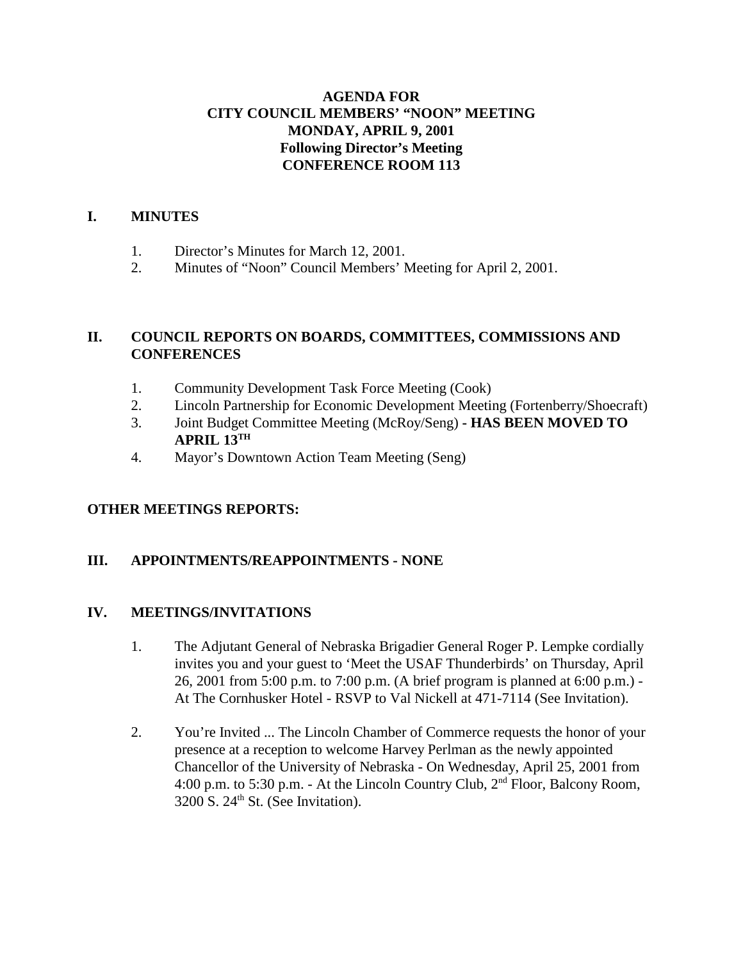# **AGENDA FOR CITY COUNCIL MEMBERS' "NOON" MEETING MONDAY, APRIL 9, 2001 Following Director's Meeting CONFERENCE ROOM 113**

#### **I. MINUTES**

- 1. Director's Minutes for March 12, 2001.
- 2. Minutes of "Noon" Council Members' Meeting for April 2, 2001.

### **II. COUNCIL REPORTS ON BOARDS, COMMITTEES, COMMISSIONS AND CONFERENCES**

- 1. Community Development Task Force Meeting (Cook)
- 2. Lincoln Partnership for Economic Development Meeting (Fortenberry/Shoecraft)
- 3. Joint Budget Committee Meeting (McRoy/Seng)  **HAS BEEN MOVED TO APRIL 13TH**
- 4. Mayor's Downtown Action Team Meeting (Seng)

#### **OTHER MEETINGS REPORTS:**

#### **III. APPOINTMENTS/REAPPOINTMENTS - NONE**

#### **IV. MEETINGS/INVITATIONS**

- 1. The Adjutant General of Nebraska Brigadier General Roger P. Lempke cordially invites you and your guest to 'Meet the USAF Thunderbirds' on Thursday, April 26, 2001 from 5:00 p.m. to 7:00 p.m. (A brief program is planned at 6:00 p.m.) - At The Cornhusker Hotel - RSVP to Val Nickell at 471-7114 (See Invitation).
- 2. You're Invited ... The Lincoln Chamber of Commerce requests the honor of your presence at a reception to welcome Harvey Perlman as the newly appointed Chancellor of the University of Nebraska - On Wednesday, April 25, 2001 from 4:00 p.m. to 5:30 p.m. - At the Lincoln Country Club, 2nd Floor, Balcony Room,  $3200$  S.  $24<sup>th</sup>$  St. (See Invitation).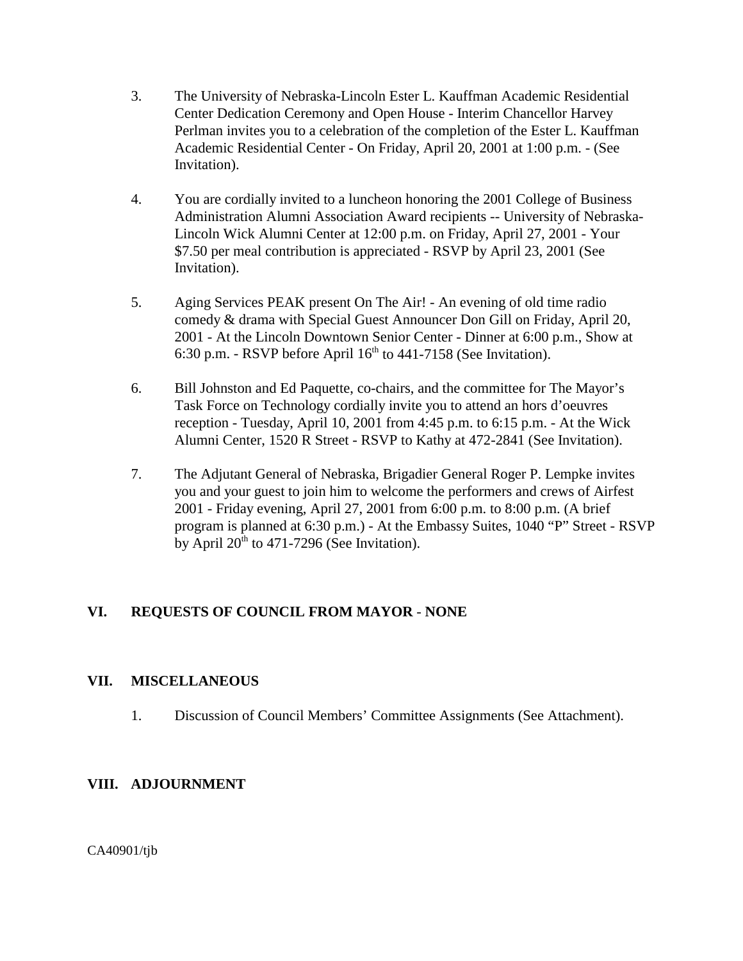- 3. The University of Nebraska-Lincoln Ester L. Kauffman Academic Residential Center Dedication Ceremony and Open House - Interim Chancellor Harvey Perlman invites you to a celebration of the completion of the Ester L. Kauffman Academic Residential Center - On Friday, April 20, 2001 at 1:00 p.m. - (See Invitation).
- 4. You are cordially invited to a luncheon honoring the 2001 College of Business Administration Alumni Association Award recipients -- University of Nebraska-Lincoln Wick Alumni Center at 12:00 p.m. on Friday, April 27, 2001 - Your \$7.50 per meal contribution is appreciated - RSVP by April 23, 2001 (See Invitation).
- 5. Aging Services PEAK present On The Air! An evening of old time radio comedy & drama with Special Guest Announcer Don Gill on Friday, April 20, 2001 - At the Lincoln Downtown Senior Center - Dinner at 6:00 p.m., Show at 6:30 p.m. - RSVP before April  $16<sup>th</sup>$  to 441-7158 (See Invitation).
- 6. Bill Johnston and Ed Paquette, co-chairs, and the committee for The Mayor's Task Force on Technology cordially invite you to attend an hors d'oeuvres reception - Tuesday, April 10, 2001 from 4:45 p.m. to 6:15 p.m. - At the Wick Alumni Center, 1520 R Street - RSVP to Kathy at 472-2841 (See Invitation).
- 7. The Adjutant General of Nebraska, Brigadier General Roger P. Lempke invites you and your guest to join him to welcome the performers and crews of Airfest 2001 - Friday evening, April 27, 2001 from 6:00 p.m. to 8:00 p.m. (A brief program is planned at 6:30 p.m.) - At the Embassy Suites, 1040 "P" Street - RSVP by April  $20^{th}$  to 471-7296 (See Invitation).

# **VI. REQUESTS OF COUNCIL FROM MAYOR** - **NONE**

#### **VII. MISCELLANEOUS**

1. Discussion of Council Members' Committee Assignments (See Attachment).

# **VIII. ADJOURNMENT**

CA40901/tjb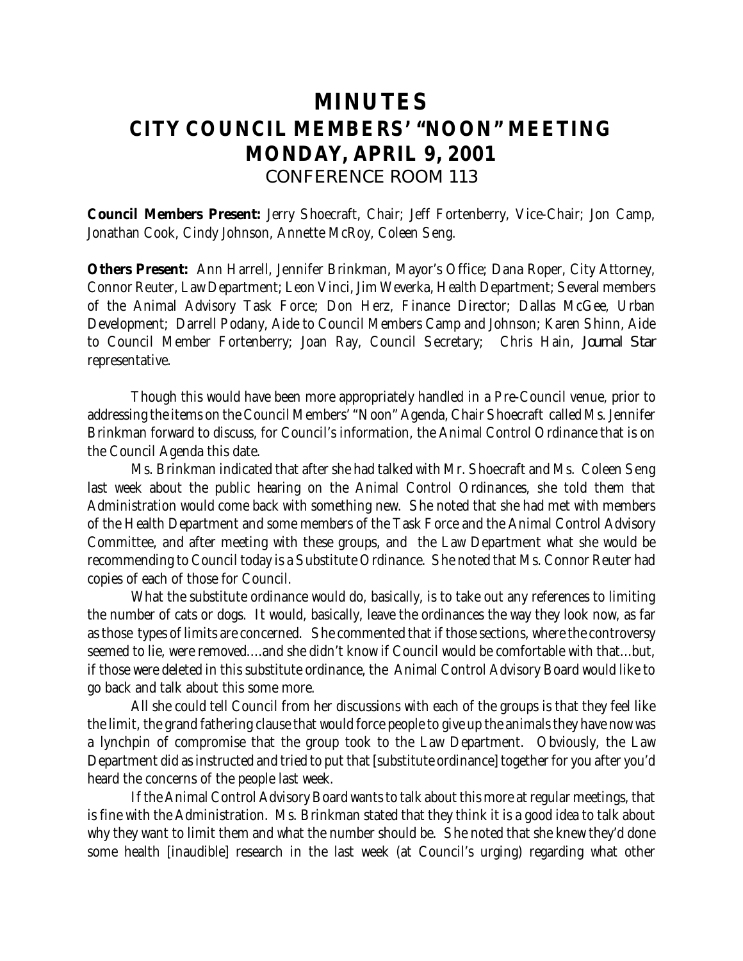# **MINUTES CITY COUNCIL MEMBERS' "NOON" MEETING MONDAY, APRIL 9, 2001** *CONFERENCE ROOM 113*

**Council Members Present:** Jerry Shoecraft, Chair; Jeff Fortenberry, Vice-Chair; Jon Camp, Jonathan Cook, Cindy Johnson, Annette McRoy, Coleen Seng.

**Others Present:** Ann Harrell, Jennifer Brinkman, Mayor's Office; Dana Roper, City Attorney, Connor Reuter, Law Department; Leon Vinci, Jim Weverka, Health Department; Several members of the Animal Advisory Task Force; Don Herz, Finance Director; Dallas McGee, Urban Development; Darrell Podany, Aide to Council Members Camp and Johnson; Karen Shinn, Aide to Council Member Fortenberry; Joan Ray, Council Secretary; Chris Hain, *Journal Star* representative.

Though this would have been more appropriately handled in a Pre-Council venue, prior to addressing the items on the Council Members' "Noon" Agenda, Chair Shoecraft called Ms. Jennifer Brinkman forward to discuss, for Council's information, the Animal Control Ordinance that is on the Council Agenda this date.

Ms. Brinkman indicated that after she had talked with Mr. Shoecraft and Ms. Coleen Seng last week about the public hearing on the Animal Control Ordinances, she told them that Administration would come back with something new. She noted that she had met with members of the Health Department and some members of the Task Force and the Animal Control Advisory Committee, and after meeting with these groups, and the Law Department what she would be recommending to Council today is a Substitute Ordinance. She noted that Ms. Connor Reuter had copies of each of those for Council.

What the substitute ordinance would do, basically, is to take out any references to limiting the number of cats or dogs. It would, basically, leave the ordinances the way they look now, as far as those types of limits are concerned. She commented that if those sections, where the controversy seemed to lie, were removed....and she didn't know if Council would be comfortable with that...but, if those were deleted in this substitute ordinance, the Animal Control Advisory Board would like to go back and talk about this some more.

All she could tell Council from her discussions with each of the groups is that they feel like the limit, the grand fathering clause that would force people to give up the animals they have now was a lynchpin of compromise that the group took to the Law Department. Obviously, the Law Department did as instructed and tried to put that [substitute ordinance] together for you after you'd heard the concerns of the people last week.

If the Animal Control Advisory Board wants to talk about this more at regular meetings, that is fine with the Administration. Ms. Brinkman stated that they think it is a good idea to talk about why they want to limit them and what the number should be. She noted that she knew they'd done some health [inaudible] research in the last week (at Council's urging) regarding what other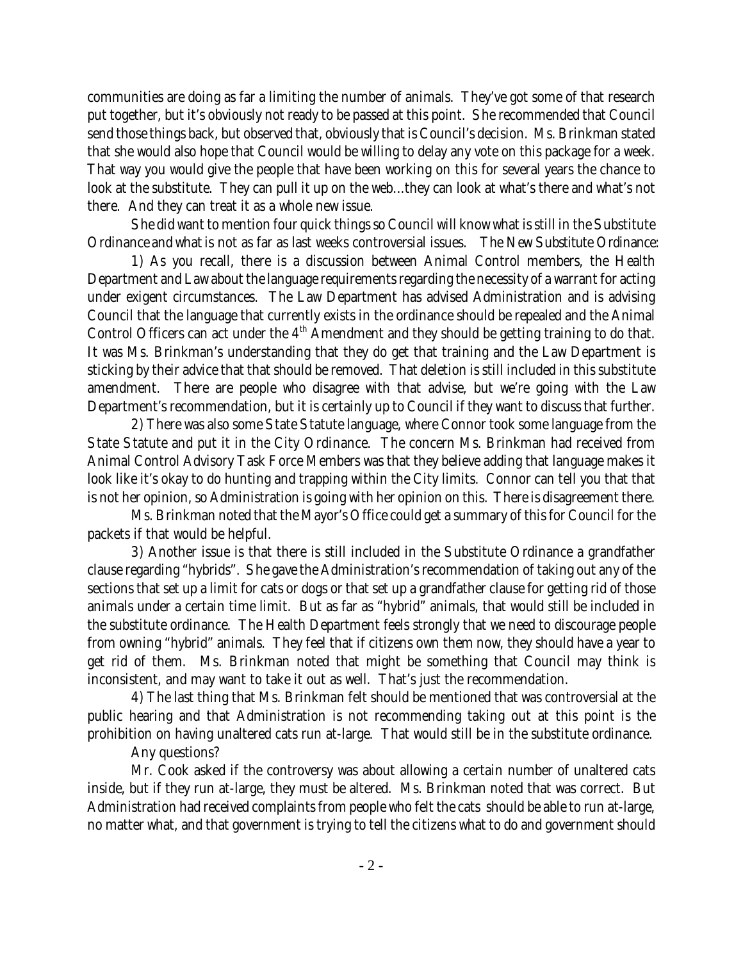communities are doing as far a limiting the number of animals. They've got some of that research put together, but it's obviously not ready to be passed at this point. She recommended that Council send those things back, but observed that, obviously that is Council's decision. Ms. Brinkman stated that she would also hope that Council would be willing to delay any vote on this package for a week. That way you would give the people that have been working on this for several years the chance to look at the substitute. They can pull it up on the web...they can look at what's there and what's not there. And they can treat it as a whole new issue.

She did want to mention four quick things so Council will know what is still in the Substitute Ordinance and what is not as far as last weeks controversial issues. The New Substitute Ordinance:

1) As you recall, there is a discussion between Animal Control members, the Health Department and Law about the language requirements regarding the necessity of a warrant for acting under exigent circumstances. The Law Department has advised Administration and is advising Council that the language that currently exists in the ordinance should be repealed and the Animal Control Officers can act under the 4<sup>th</sup> Amendment and they should be getting training to do that. It was Ms. Brinkman's understanding that they do get that training and the Law Department is sticking by their advice that that should be removed. That deletion is still included in this substitute amendment. There are people who disagree with that advise, but we're going with the Law Department's recommendation, but it is certainly up to Council if they want to discuss that further.

2) There was also some State Statute language, where Connor took some language from the State Statute and put it in the City Ordinance. The concern Ms. Brinkman had received from Animal Control Advisory Task Force Members was that they believe adding that language makes it look like it's okay to do hunting and trapping within the City limits. Connor can tell you that that is not her opinion, so Administration is going with her opinion on this. There is disagreement there.

Ms. Brinkman noted that the Mayor's Office could get a summary of this for Council for the packets if that would be helpful.

3) Another issue is that there is still included in the Substitute Ordinance a grandfather clause regarding "hybrids". She gave the Administration's recommendation of taking out any of the sections that set up a limit for cats or dogs or that set up a grandfather clause for getting rid of those animals under a certain time limit. But as far as "hybrid" animals, that would still be included in the substitute ordinance. The Health Department feels strongly that we need to discourage people from owning "hybrid" animals. They feel that if citizens own them now, they should have a year to get rid of them. Ms. Brinkman noted that might be something that Council may think is inconsistent, and may want to take it out as well. That's just the recommendation.

4) The last thing that Ms. Brinkman felt should be mentioned that was controversial at the public hearing and that Administration is not recommending taking out at this point is the prohibition on having unaltered cats run at-large. That would still be in the substitute ordinance.

Any questions?

Mr. Cook asked if the controversy was about allowing a certain number of unaltered cats inside, but if they run at-large, they must be altered. Ms. Brinkman noted that was correct. But Administration had received complaints from people who felt the cats should be able to run at-large, no matter what, and that government is trying to tell the citizens what to do and government should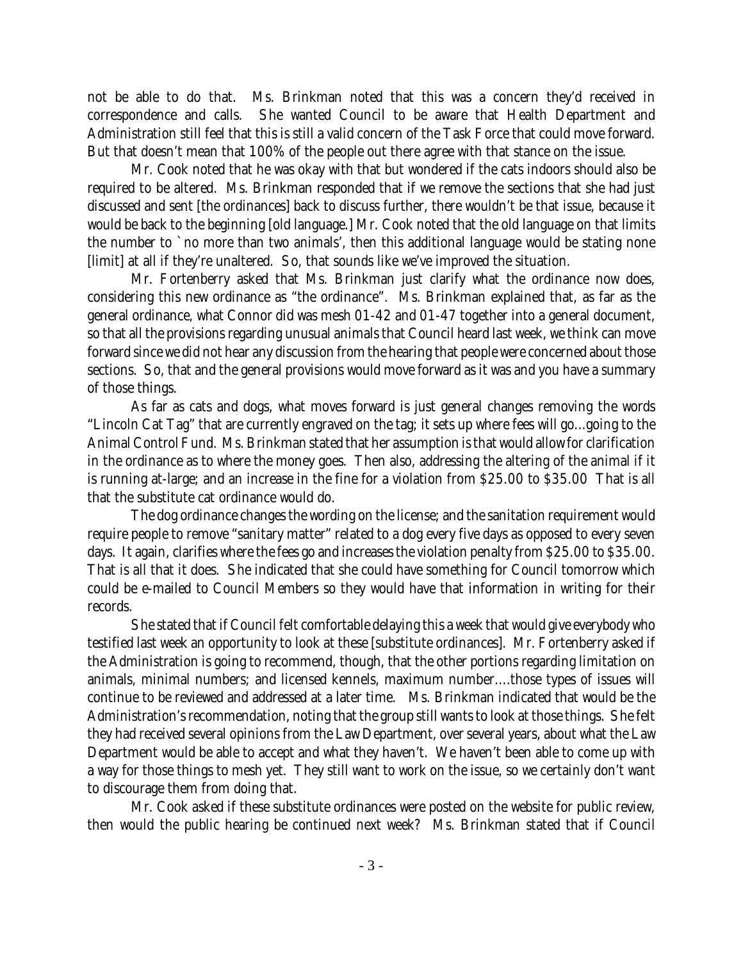not be able to do that. Ms. Brinkman noted that this was a concern they'd received in correspondence and calls. She wanted Council to be aware that Health Department and Administration still feel that this is still a valid concern of the Task Force that could move forward. But that doesn't mean that 100% of the people out there agree with that stance on the issue.

Mr. Cook noted that he was okay with that but wondered if the cats indoors should also be required to be altered. Ms. Brinkman responded that if we remove the sections that she had just discussed and sent [the ordinances] back to discuss further, there wouldn't be that issue, because it would be back to the beginning [old language.] Mr. Cook noted that the old language on that limits the number to `no more than two animals', then this additional language would be stating none [limit] at all if they're unaltered. So, that sounds like we've improved the situation.

Mr. Fortenberry asked that Ms. Brinkman just clarify what the ordinance now does, considering this new ordinance as "the ordinance". Ms. Brinkman explained that, as far as the general ordinance, what Connor did was mesh 01-42 and 01-47 together into a general document, so that all the provisions regarding unusual animals that Council heard last week, we think can move forward since we did not hear any discussion from the hearing that people were concerned about those sections. So, that and the general provisions would move forward as it was and you have a summary of those things.

As far as cats and dogs, what moves forward is just general changes removing the words "Lincoln Cat Tag" that are currently engraved on the tag; it sets up where fees will go...going to the Animal Control Fund. Ms. Brinkman stated that her assumption is that would allow for clarification in the ordinance as to where the money goes. Then also, addressing the altering of the animal if it is running at-large; and an increase in the fine for a violation from \$25.00 to \$35.00 That is all that the substitute cat ordinance would do.

The dog ordinance changes the wording on the license; and the sanitation requirement would require people to remove "sanitary matter" related to a dog every five days as opposed to every seven days. It again, clarifies where the fees go and increases the violation penalty from \$25.00 to \$35.00. That is all that it does. She indicated that she could have something for Council tomorrow which could be e-mailed to Council Members so they would have that information in writing for their records.

She stated that if Council felt comfortable delaying this a week that would give everybody who testified last week an opportunity to look at these [substitute ordinances]. Mr. Fortenberry asked if the Administration is going to recommend, though, that the other portions regarding limitation on animals, minimal numbers; and licensed kennels, maximum number....those types of issues will continue to be reviewed and addressed at a later time. Ms. Brinkman indicated that would be the Administration's recommendation, noting that the group still wants to look at those things. She felt they had received several opinions from the Law Department, over several years, about what the Law Department would be able to accept and what they haven't. We haven't been able to come up with a way for those things to mesh yet. They still want to work on the issue, so we certainly don't want to discourage them from doing that.

Mr. Cook asked if these substitute ordinances were posted on the website for public review, then would the public hearing be continued next week? Ms. Brinkman stated that if Council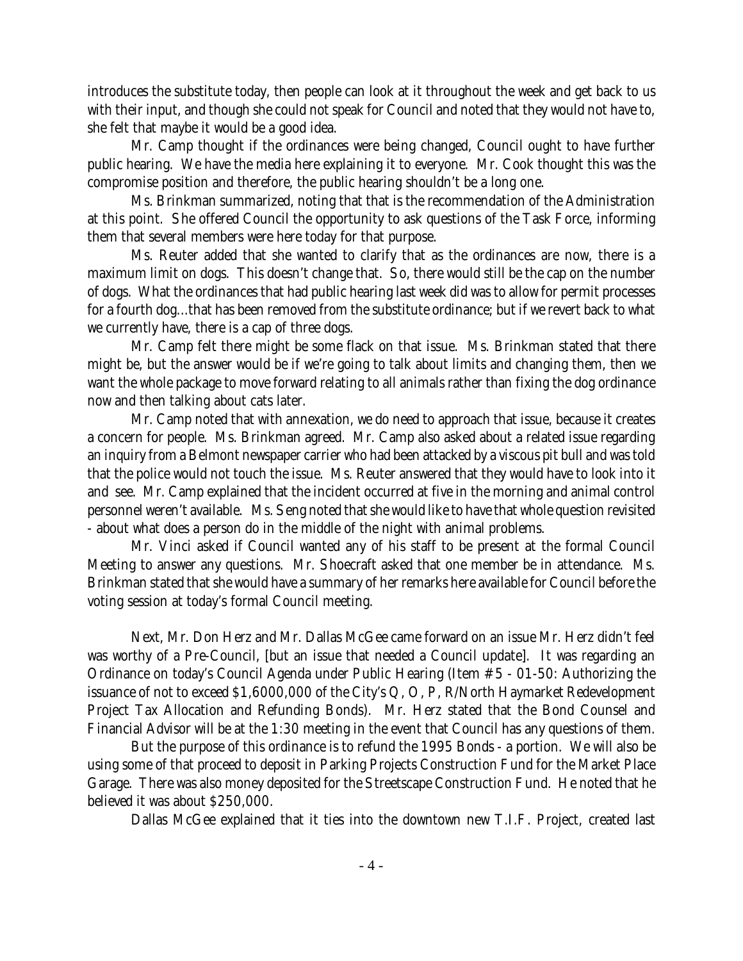introduces the substitute today, then people can look at it throughout the week and get back to us with their input, and though she could not speak for Council and noted that they would not have to, she felt that maybe it would be a good idea.

Mr. Camp thought if the ordinances were being changed, Council ought to have further public hearing. We have the media here explaining it to everyone. Mr. Cook thought this was the compromise position and therefore, the public hearing shouldn't be a long one.

Ms. Brinkman summarized, noting that that is the recommendation of the Administration at this point. She offered Council the opportunity to ask questions of the Task Force, informing them that several members were here today for that purpose.

Ms. Reuter added that she wanted to clarify that as the ordinances are now, there is a maximum limit on dogs. This doesn't change that. So, there would still be the cap on the number of dogs. What the ordinances that had public hearing last week did was to allow for permit processes for a fourth dog...that has been removed from the substitute ordinance; but if we revert back to what we currently have, there is a cap of three dogs.

Mr. Camp felt there might be some flack on that issue. Ms. Brinkman stated that there might be, but the answer would be if we're going to talk about limits and changing them, then we want the whole package to move forward relating to all animals rather than fixing the dog ordinance now and then talking about cats later.

Mr. Camp noted that with annexation, we do need to approach that issue, because it creates a concern for people. Ms. Brinkman agreed. Mr. Camp also asked about a related issue regarding an inquiry from a Belmont newspaper carrier who had been attacked by a viscous pit bull and was told that the police would not touch the issue. Ms. Reuter answered that they would have to look into it and see. Mr. Camp explained that the incident occurred at five in the morning and animal control personnel weren't available. Ms. Seng noted that she would like to have that whole question revisited - about what does a person do in the middle of the night with animal problems.

Mr. Vinci asked if Council wanted any of his staff to be present at the formal Council Meeting to answer any questions. Mr. Shoecraft asked that one member be in attendance. Ms. Brinkman stated that she would have a summary of her remarks here available for Council before the voting session at today's formal Council meeting.

Next, Mr. Don Herz and Mr. Dallas McGee came forward on an issue Mr. Herz didn't feel was worthy of a Pre-Council, [but an issue that needed a Council update]. It was regarding an Ordinance on today's Council Agenda under Public Hearing (Item #5 - 01-50: Authorizing the issuance of not to exceed \$1,6000,000 of the City's Q, O, P, R/North Haymarket Redevelopment Project Tax Allocation and Refunding Bonds). Mr. Herz stated that the Bond Counsel and Financial Advisor will be at the 1:30 meeting in the event that Council has any questions of them.

But the purpose of this ordinance is to refund the 1995 Bonds - a portion. We will also be using some of that proceed to deposit in Parking Projects Construction Fund for the Market Place Garage. There was also money deposited for the Streetscape Construction Fund. He noted that he believed it was about \$250,000.

Dallas McGee explained that it ties into the downtown new T.I.F. Project, created last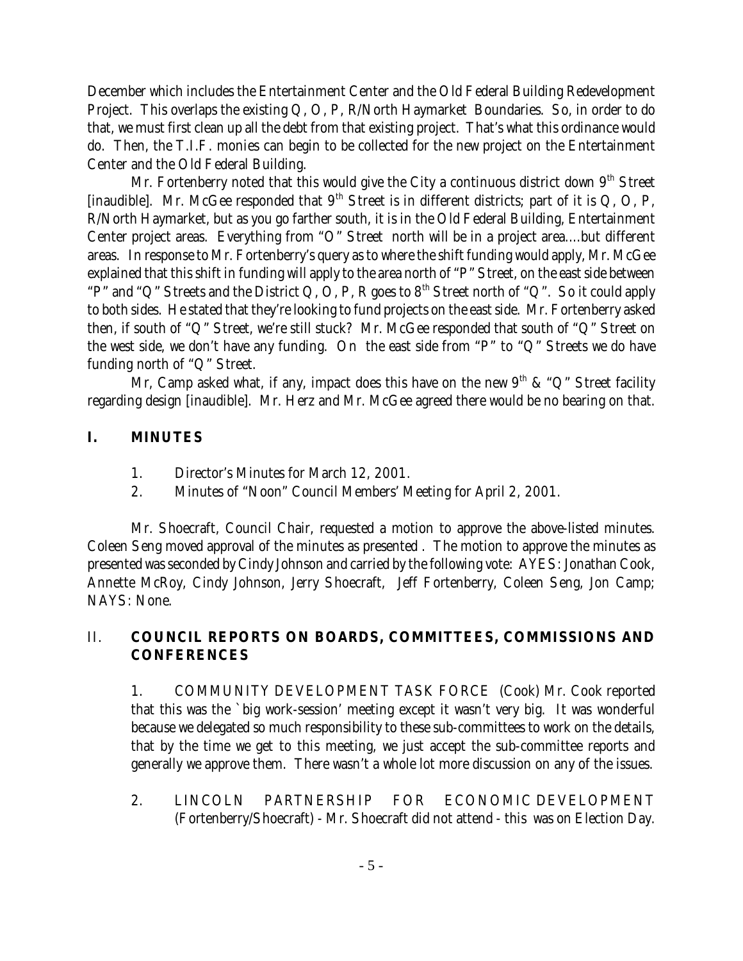December which includes the Entertainment Center and the Old Federal Building Redevelopment Project. This overlaps the existing Q, O, P, R/North Haymarket Boundaries. So, in order to do that, we must first clean up all the debt from that existing project. That's what this ordinance would do. Then, the T.I.F. monies can begin to be collected for the new project on the Entertainment Center and the Old Federal Building.

Mr. Fortenberry noted that this would give the City a continuous district down  $9<sup>th</sup>$  Street [inaudible]. Mr. McGee responded that  $9<sup>th</sup>$  Street is in different districts; part of it is Q, O, P, R/North Haymarket, but as you go farther south, it is in the Old Federal Building, Entertainment Center project areas. Everything from "O" Street north will be in a project area....but different areas. In response to Mr. Fortenberry's query as to where the shift funding would apply, Mr. McGee explained that this shift in funding will apply to the area north of "P" Street, on the east side between "P" and "Q" Streets and the District Q, O, P, R goes to  $8<sup>th</sup>$  Street north of "Q". So it could apply to both sides. He stated that they're looking to fund projects on the east side. Mr. Fortenberry asked then, if south of "Q" Street, we're still stuck? Mr. McGee responded that south of "Q" Street on the west side, we don't have any funding. On the east side from "P" to "Q" Streets we do have funding north of "Q" Street.

Mr, Camp asked what, if any, impact does this have on the new  $9<sup>th</sup>$  & "Q" Street facility regarding design [inaudible]. Mr. Herz and Mr. McGee agreed there would be no bearing on that.

# **I. MINUTES**

- 1. Director's Minutes for March 12, 2001.
- 2. Minutes of "Noon" Council Members' Meeting for April 2, 2001.

Mr. Shoecraft, Council Chair, requested a motion to approve the above-listed minutes. Coleen Seng moved approval of the minutes as presented . The motion to approve the minutes as presented was seconded by Cindy Johnson and carried by the following vote: AYES: Jonathan Cook, Annette McRoy, Cindy Johnson, Jerry Shoecraft, Jeff Fortenberry, Coleen Seng, Jon Camp; NAYS: None.

# II. **COUNCIL REPORTS ON BOARDS, COMMITTEES, COMMISSIONS AND CONFERENCES**

1. COMMUNITY DEVELOPMENT TASK FORCE (Cook) Mr. Cook reported that this was the `big work-session' meeting except it wasn't very big. It was wonderful because we delegated so much responsibility to these sub-committees to work on the details, that by the time we get to this meeting, we just accept the sub-committee reports and generally we approve them. There wasn't a whole lot more discussion on any of the issues.

2. LINCOLN PARTNERSHIP FOR ECONOMIC DEVELOPMENT (Fortenberry/Shoecraft) - Mr. Shoecraft did not attend - this was on Election Day.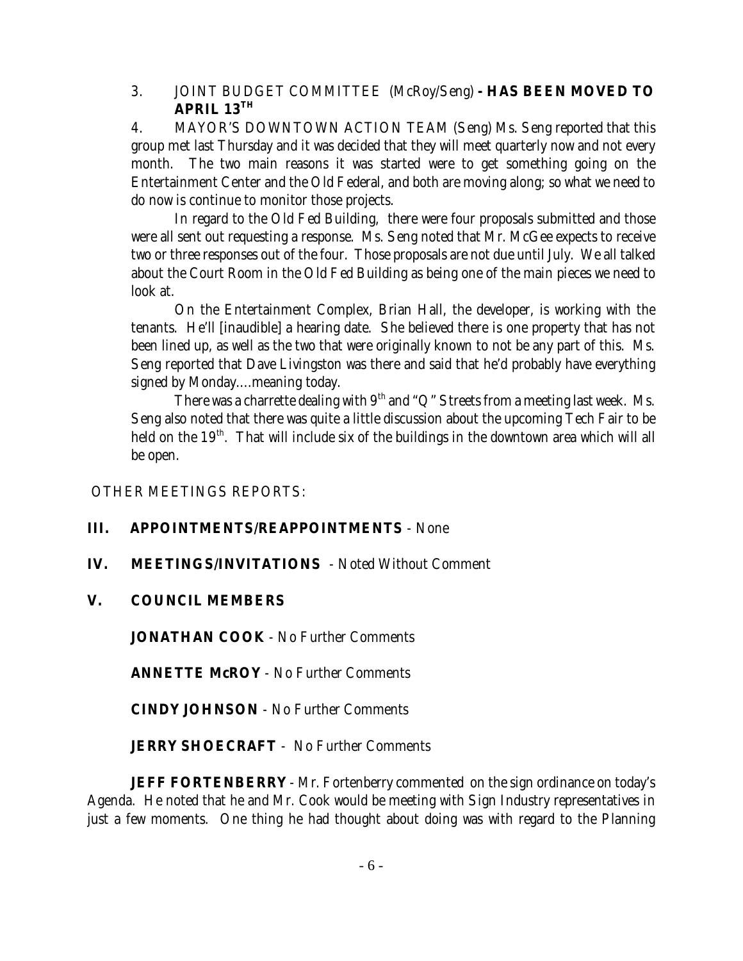# 3. JOINT BUDGET COMMITTEE (McRoy/Seng) **- HAS BEEN MOVED TO APRIL 13TH**

4. MAYOR'S DOWNTOWN ACTION TEAM (Seng) Ms. Seng reported that this group met last Thursday and it was decided that they will meet quarterly now and not every month. The two main reasons it was started were to get something going on the Entertainment Center and the Old Federal, and both are moving along; so what we need to do now is continue to monitor those projects.

In regard to the Old Fed Building, there were four proposals submitted and those were all sent out requesting a response. Ms. Seng noted that Mr. McGee expects to receive two or three responses out of the four. Those proposals are not due until July. We all talked about the Court Room in the Old Fed Building as being one of the main pieces we need to look at.

On the Entertainment Complex, Brian Hall, the developer, is working with the tenants. He'll [inaudible] a hearing date. She believed there is one property that has not been lined up, as well as the two that were originally known to not be any part of this. Ms. Seng reported that Dave Livingston was there and said that he'd probably have everything signed by Monday....meaning today.

There was a charrette dealing with  $9<sup>th</sup>$  and "Q" Streets from a meeting last week. Ms. Seng also noted that there was quite a little discussion about the upcoming Tech Fair to be held on the  $19<sup>th</sup>$ . That will include six of the buildings in the downtown area which will all be open.

OTHER MEETINGS REPORTS:

# **III. APPOINTMENTS/REAPPOINTMENTS** - None

- **IV. MEETINGS/INVITATIONS**  Noted Without Comment
- **V. COUNCIL MEMBERS**

**JONATHAN COOK** - No Further Comments

**ANNETTE McROY** - No Further Comments

**CINDY JOHNSON** - No Further Comments

**JERRY SHOECRAFT** - No Further Comments

**JEFF FORTENBERRY** - Mr. Fortenberry commented on the sign ordinance on today's Agenda. He noted that he and Mr. Cook would be meeting with Sign Industry representatives in just a few moments. One thing he had thought about doing was with regard to the Planning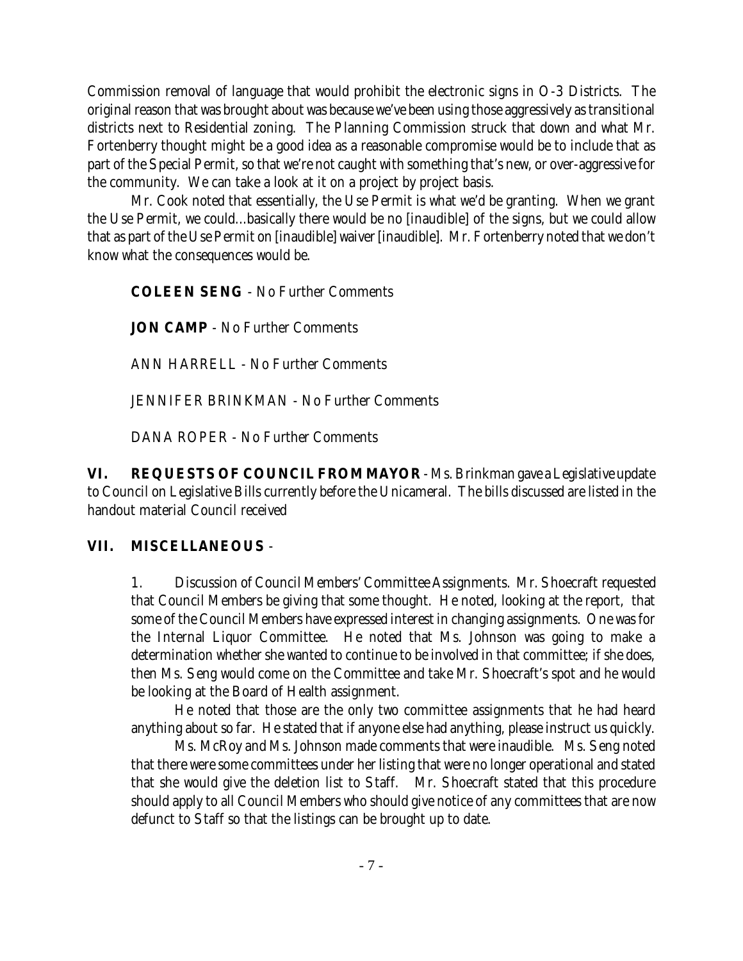Commission removal of language that would prohibit the electronic signs in O-3 Districts. The original reason that was brought about was because we've been using those aggressively as transitional districts next to Residential zoning. The Planning Commission struck that down and what Mr. Fortenberry thought might be a good idea as a reasonable compromise would be to include that as part of the Special Permit, so that we're not caught with something that's new, or over-aggressive for the community. We can take a look at it on a project by project basis.

Mr. Cook noted that essentially, the Use Permit is what we'd be granting. When we grant the Use Permit, we could...basically there would be no [inaudible] of the signs, but we could allow that as part of the Use Permit on [inaudible] waiver [inaudible]. Mr. Fortenberry noted that we don't know what the consequences would be.

**COLEEN SENG** - No Further Comments

**JON CAMP** - No Further Comments

ANN HARRELL - No Further Comments

JENNIFER BRINKMAN - No Further Comments

DANA ROPER - No Further Comments

**VI. REQUESTS OF COUNCIL FROM MAYOR** - Ms. Brinkman gave a Legislative update to Council on Legislative Bills currently before the Unicameral. The bills discussed are listed in the handout material Council received

# **VII. MISCELLANEOUS** -

1. Discussion of Council Members' Committee Assignments. Mr. Shoecraft requested that Council Members be giving that some thought. He noted, looking at the report, that some of the Council Members have expressed interest in changing assignments. One was for the Internal Liquor Committee. He noted that Ms. Johnson was going to make a determination whether she wanted to continue to be involved in that committee; if she does, then Ms. Seng would come on the Committee and take Mr. Shoecraft's spot and he would be looking at the Board of Health assignment.

He noted that those are the only two committee assignments that he had heard anything about so far. He stated that if anyone else had anything, please instruct us quickly.

Ms. McRoy and Ms. Johnson made comments that were inaudible. Ms. Seng noted that there were some committees under her listing that were no longer operational and stated that she would give the deletion list to Staff. Mr. Shoecraft stated that this procedure should apply to all Council Members who should give notice of any committees that are now defunct to Staff so that the listings can be brought up to date.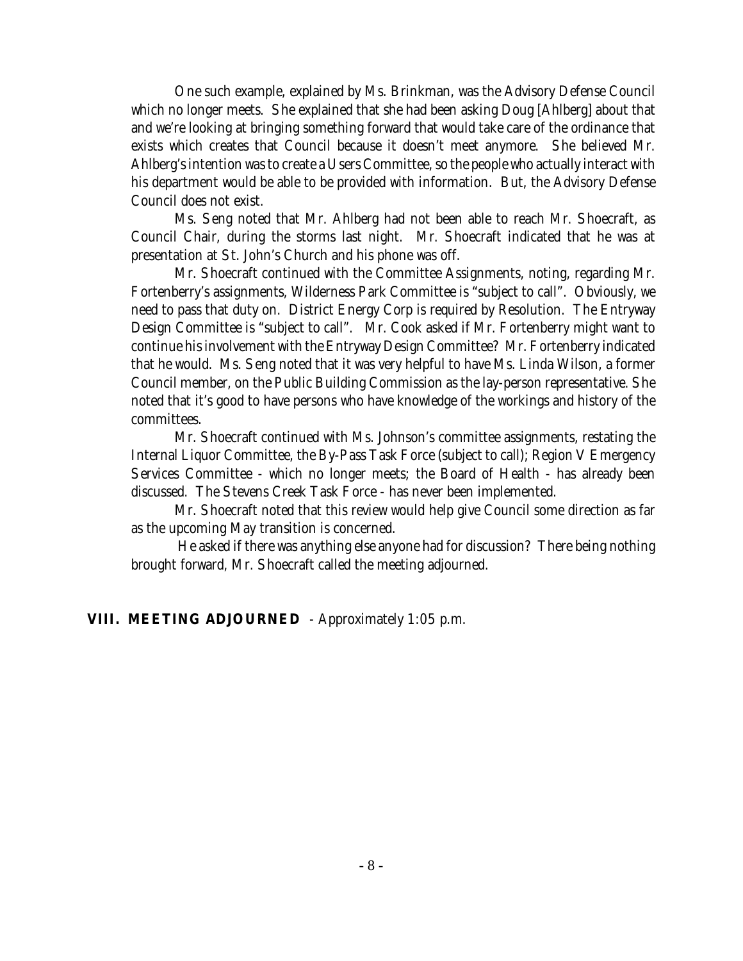One such example, explained by Ms. Brinkman, was the Advisory Defense Council which no longer meets. She explained that she had been asking Doug [Ahlberg] about that and we're looking at bringing something forward that would take care of the ordinance that exists which creates that Council because it doesn't meet anymore. She believed Mr. Ahlberg's intention was to create a Users Committee, so the people who actually interact with his department would be able to be provided with information. But, the Advisory Defense Council does not exist.

Ms. Seng noted that Mr. Ahlberg had not been able to reach Mr. Shoecraft, as Council Chair, during the storms last night. Mr. Shoecraft indicated that he was at presentation at St. John's Church and his phone was off.

Mr. Shoecraft continued with the Committee Assignments, noting, regarding Mr. Fortenberry's assignments, Wilderness Park Committee is "subject to call". Obviously, we need to pass that duty on. District Energy Corp is required by Resolution. The Entryway Design Committee is "subject to call". Mr. Cook asked if Mr. Fortenberry might want to continue his involvement with the Entryway Design Committee? Mr. Fortenberry indicated that he would. Ms. Seng noted that it was very helpful to have Ms. Linda Wilson, a former Council member, on the Public Building Commission as the lay-person representative. She noted that it's good to have persons who have knowledge of the workings and history of the committees.

Mr. Shoecraft continued with Ms. Johnson's committee assignments, restating the Internal Liquor Committee, the By-Pass Task Force (subject to call); Region V Emergency Services Committee - which no longer meets; the Board of Health - has already been discussed. The Stevens Creek Task Force - has never been implemented.

Mr. Shoecraft noted that this review would help give Council some direction as far as the upcoming May transition is concerned.

 He asked if there was anything else anyone had for discussion? There being nothing brought forward, Mr. Shoecraft called the meeting adjourned.

# **VIII. MEETING ADJOURNED** - Approximately 1:05 p.m.